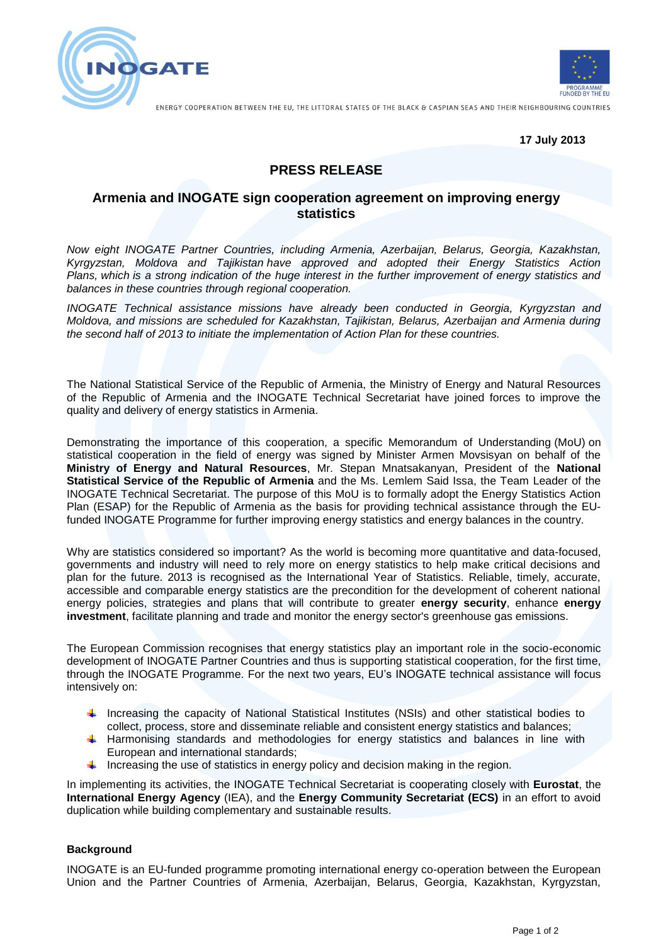



ENERGY COOPERATION BETWEEN THE EU, THE LITTORAL STATES OF THE BLACK & CASPIAN SEAS AND THEIR NEIGHBOURING COUNTRIES

**17 July 2013**

# **PRESS RELEASE**

## **Armenia and INOGATE sign cooperation agreement on improving energy statistics**

*Now eight INOGATE Partner Countries, including Armenia, Azerbaijan, Belarus, Georgia, Kazakhstan, Kyrgyzstan, Moldova and Tajikistan have approved and adopted their Energy Statistics Action Plans, which is a strong indication of the huge interest in the further improvement of energy statistics and balances in these countries through regional cooperation.* 

*INOGATE Technical assistance missions have already been conducted in Georgia, Kyrgyzstan and Moldova, and missions are scheduled for Kazakhstan, Tajikistan, Belarus, Azerbaijan and Armenia during the second half of 2013 to initiate the implementation of Action Plan for these countries.* 

The National Statistical Service of the Republic of Armenia, the Ministry of Energy and Natural Resources of the Republic of Armenia and the INOGATE Technical Secretariat have joined forces to improve the quality and delivery of energy statistics in Armenia.

Demonstrating the importance of this cooperation, a specific Memorandum of Understanding (MoU) on statistical cooperation in the field of energy was signed by Minister Armen Movsisyan on behalf of the **Ministry of Energy and Natural Resources**, Mr. Stepan Mnatsakanyan, President of the **National Statistical Service of the Republic of Armenia** and the Ms. Lemlem Said Issa, the Team Leader of the INOGATE Technical Secretariat. The purpose of this MoU is to formally adopt the Energy Statistics Action Plan (ESAP) for the Republic of Armenia as the basis for providing technical assistance through the EUfunded INOGATE Programme for further improving energy statistics and energy balances in the country.

Why are statistics considered so important? As the world is becoming more quantitative and data-focused, governments and industry will need to rely more on energy statistics to help make critical decisions and plan for the future. 2013 is recognised as the International Year of Statistics. Reliable, timely, accurate, accessible and comparable energy statistics are the precondition for the development of coherent national energy policies, strategies and plans that will contribute to greater **energy security**, enhance **energy investment**, facilitate planning and trade and monitor the energy sector's greenhouse gas emissions.

The European Commission recognises that energy statistics play an important role in the socio-economic development of INOGATE Partner Countries and thus is supporting statistical cooperation, for the first time, through the INOGATE Programme. For the next two years, EU's INOGATE technical assistance will focus intensively on:

- Increasing the capacity of National Statistical Institutes (NSIs) and other statistical bodies to collect, process, store and disseminate reliable and consistent energy statistics and balances;
- Harmonising standards and methodologies for energy statistics and balances in line with European and international standards;
- Increasing the use of statistics in energy policy and decision making in the region.

In implementing its activities, the INOGATE Technical Secretariat is cooperating closely with **Eurostat**, the **International Energy Agency** (IEA), and the **Energy Community Secretariat (ECS)** in an effort to avoid duplication while building complementary and sustainable results.

### **Background**

INOGATE is an EU-funded programme promoting international energy co-operation between the European Union and the Partner Countries of Armenia, Azerbaijan, Belarus, Georgia, Kazakhstan, Kyrgyzstan,